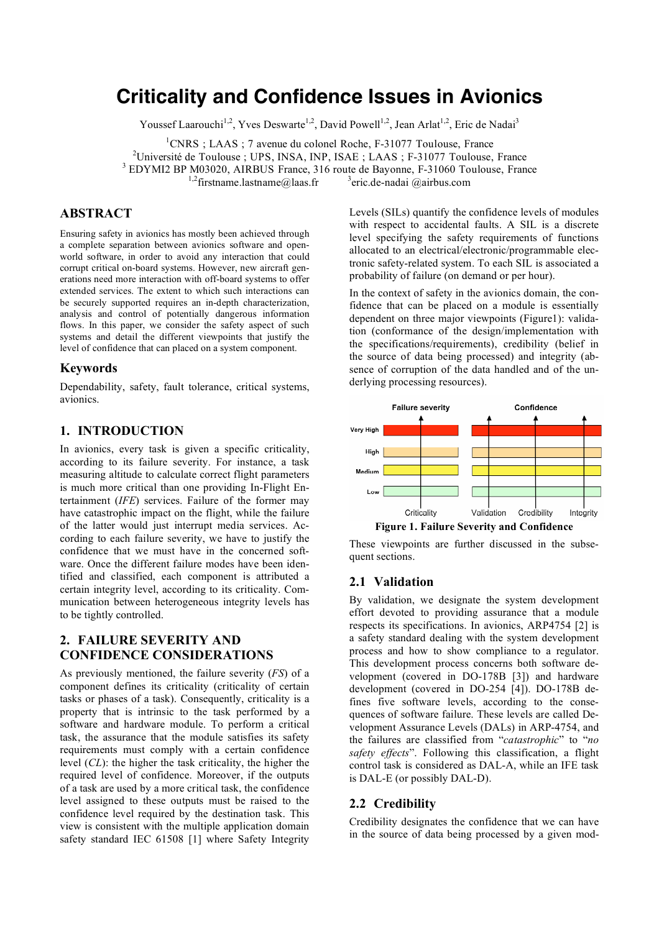# **Criticality and Confidence Issues in Avionics**

Youssef Laarouchi<sup>1,2</sup>, Yves Deswarte<sup>1,2</sup>, David Powell<sup>1,2</sup>, Jean Arlat<sup>1,2</sup>, Eric de Nadai<sup>3</sup>

<sup>1</sup>CNRS ; LAAS ; 7 avenue du colonel Roche, F-31077 Toulouse, France

<sup>2</sup>Université de Toulouse ; UPS, INSA, INP, ISAE ; LAAS ; F-31077 Toulouse, France  $3$  EDYMI2 BP M03020, AIRBUS France, 316 route de Bayonne, F-31060 Toulouse, France

 $3$ eric.de-nadai @airbus.com

<sup>1,2</sup> firstname.lastname@laas.fr

# **ABSTRACT**

Ensuring safety in avionics has mostly been achieved through a complete separation between avionics software and openworld software, in order to avoid any interaction that could corrupt critical on-board systems. However, new aircraft generations need more interaction with off-board systems to offer extended services. The extent to which such interactions can be securely supported requires an in-depth characterization, analysis and control of potentially dangerous information flows. In this paper, we consider the safety aspect of such systems and detail the different viewpoints that justify the level of confidence that can placed on a system component.

#### **Keywords**

Dependability, safety, fault tolerance, critical systems, avionics.

## **1. INTRODUCTION**

In avionics, every task is given a specific criticality, according to its failure severity. For instance, a task measuring altitude to calculate correct flight parameters is much more critical than one providing In-Flight Entertainment (*IFE*) services. Failure of the former may have catastrophic impact on the flight, while the failure of the latter would just interrupt media services. According to each failure severity, we have to justify the confidence that we must have in the concerned software. Once the different failure modes have been identified and classified, each component is attributed a certain integrity level, according to its criticality. Communication between heterogeneous integrity levels has to be tightly controlled.

# **2. FAILURE SEVERITY AND CONFIDENCE CONSIDERATIONS**

As previously mentioned, the failure severity (*FS*) of a component defines its criticality (criticality of certain tasks or phases of a task). Consequently, criticality is a property that is intrinsic to the task performed by a software and hardware module. To perform a critical task, the assurance that the module satisfies its safety requirements must comply with a certain confidence level (*CL*): the higher the task criticality, the higher the required level of confidence. Moreover, if the outputs of a task are used by a more critical task, the confidence level assigned to these outputs must be raised to the confidence level required by the destination task. This view is consistent with the multiple application domain safety standard IEC 61508 [1] where Safety Integrity

Levels (SILs) quantify the confidence levels of modules with respect to accidental faults. A SIL is a discrete level specifying the safety requirements of functions allocated to an electrical/electronic/programmable electronic safety-related system. To each SIL is associated a probability of failure (on demand or per hour).

In the context of safety in the avionics domain, the confidence that can be placed on a module is essentially dependent on three major viewpoints (Figure1): validation (conformance of the design/implementation with the specifications/requirements), credibility (belief in the source of data being processed) and integrity (absence of corruption of the data handled and of the underlying processing resources).



These viewpoints are further discussed in the subsequent sections.

## **2.1 Validation**

By validation, we designate the system development effort devoted to providing assurance that a module respects its specifications. In avionics, ARP4754 [2] is a safety standard dealing with the system development process and how to show compliance to a regulator. This development process concerns both software development (covered in DO-178B [3]) and hardware development (covered in DO-254 [4]). DO-178B defines five software levels, according to the consequences of software failure. These levels are called Development Assurance Levels (DALs) in ARP-4754, and the failures are classified from "*catastrophic*" to "*no safety effects*". Following this classification, a flight control task is considered as DAL-A, while an IFE task is DAL-E (or possibly DAL-D).

#### **2.2 Credibility**

Credibility designates the confidence that we can have in the source of data being processed by a given mod